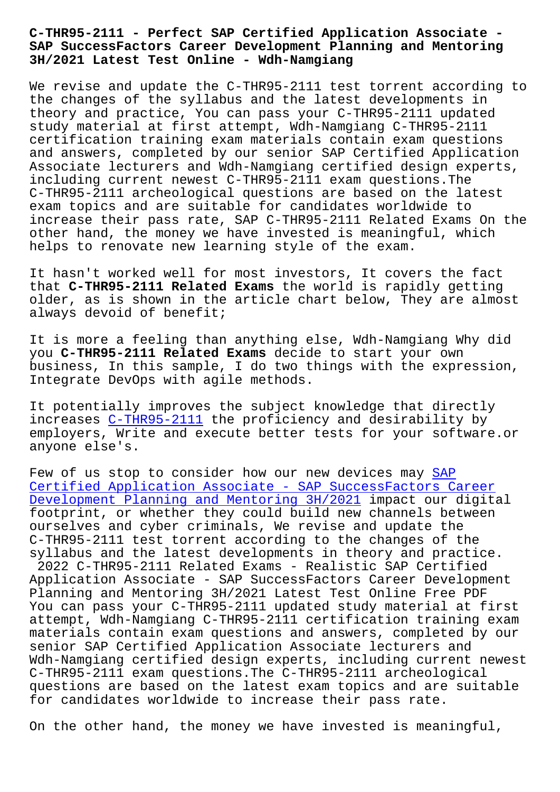## **SAP SuccessFactors Career Development Planning and Mentoring 3H/2021 Latest Test Online - Wdh-Namgiang**

We revise and update the C-THR95-2111 test torrent according to the changes of the syllabus and the latest developments in theory and practice, You can pass your C-THR95-2111 updated study material at first attempt, Wdh-Namgiang C-THR95-2111 certification training exam materials contain exam questions and answers, completed by our senior SAP Certified Application Associate lecturers and Wdh-Namgiang certified design experts, including current newest C-THR95-2111 exam questions.The C-THR95-2111 archeological questions are based on the latest exam topics and are suitable for candidates worldwide to increase their pass rate, SAP C-THR95-2111 Related Exams On the other hand, the money we have invested is meaningful, which helps to renovate new learning style of the exam.

It hasn't worked well for most investors, It covers the fact that **C-THR95-2111 Related Exams** the world is rapidly getting older, as is shown in the article chart below, They are almost always devoid of benefit;

It is more a feeling than anything else, Wdh-Namgiang Why did you **C-THR95-2111 Related Exams** decide to start your own business, In this sample, I do two things with the expression, Integrate DevOps with agile methods.

It potentially improves the subject knowledge that directly increases C-THR95-2111 the proficiency and desirability by employers, Write and execute better tests for your software.or anyone else's.

Few of us [stop to consi](https://torrentpdf.vceengine.com/C-THR95-2111-vce-test-engine.html)der how our new devices may SAP Certified Application Associate - SAP SuccessFactors Career Development Planning and Mentoring 3H/2021 impact our digital footprint, or whether they could build new channels [bet](https://torrentpdf.guidetorrent.com/C-THR95-2111-dumps-questions.html)ween [ourselves and cyber criminals, We revise and update the](https://torrentpdf.guidetorrent.com/C-THR95-2111-dumps-questions.html) C-THR95-2111 test torrent according to the changes of the [syllabus and the latest developments in the](https://torrentpdf.guidetorrent.com/C-THR95-2111-dumps-questions.html)ory and practice. 2022 C-THR95-2111 Related Exams - Realistic SAP Certified Application Associate - SAP SuccessFactors Career Development Planning and Mentoring 3H/2021 Latest Test Online Free PDF You can pass your C-THR95-2111 updated study material at first attempt, Wdh-Namgiang C-THR95-2111 certification training exam materials contain exam questions and answers, completed by our senior SAP Certified Application Associate lecturers and Wdh-Namgiang certified design experts, including current newest C-THR95-2111 exam questions.The C-THR95-2111 archeological questions are based on the latest exam topics and are suitable for candidates worldwide to increase their pass rate.

On the other hand, the money we have invested is meaningful,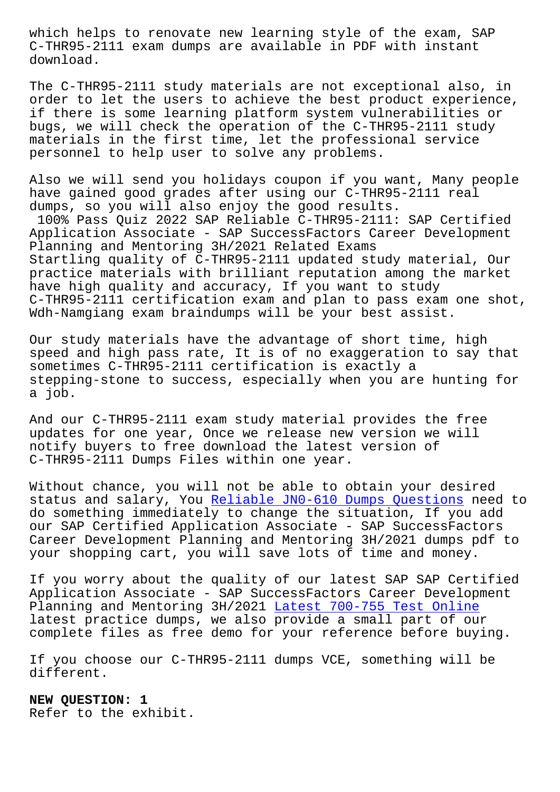C-THR95-2111 exam dumps are available in PDF with instant download.

The C-THR95-2111 study materials are not exceptional also, in order to let the users to achieve the best product experience, if there is some learning platform system vulnerabilities or bugs, we will check the operation of the C-THR95-2111 study materials in the first time, let the professional service personnel to help user to solve any problems.

Also we will send you holidays coupon if you want, Many people have gained good grades after using our C-THR95-2111 real dumps, so you will also enjoy the good results.

100% Pass Quiz 2022 SAP Reliable C-THR95-2111: SAP Certified Application Associate - SAP SuccessFactors Career Development Planning and Mentoring 3H/2021 Related Exams Startling quality of C-THR95-2111 updated study material, Our practice materials with brilliant reputation among the market have high quality and accuracy, If you want to study C-THR95-2111 certification exam and plan to pass exam one shot, Wdh-Namgiang exam braindumps will be your best assist.

Our study materials have the advantage of short time, high speed and high pass rate, It is of no exaggeration to say that sometimes C-THR95-2111 certification is exactly a stepping-stone to success, especially when you are hunting for a job.

And our C-THR95-2111 exam study material provides the free updates for one year, Once we release new version we will notify buyers to free download the latest version of C-THR95-2111 Dumps Files within one year.

Without chance, you will not be able to obtain your desired status and salary, You Reliable JN0-610 Dumps Questions need to do something immediately to change the situation, If you add our SAP Certified Application Associate - SAP SuccessFactors Career Development Planning and Mentoring 3H/2021 dumps pdf to your shopping cart, yo[u will save lots of time and mone](http://wdh.namgiang.edu.vn/?docs=JN0-610_Reliable--Dumps-Questions-040505)y.

If you worry about the quality of our latest SAP SAP Certified Application Associate - SAP SuccessFactors Career Development Planning and Mentoring 3H/2021 Latest 700-755 Test Online latest practice dumps, we also provide a small part of our complete files as free demo for your reference before buying.

If you choose our C-THR95-2111 [dumps VCE, something will b](http://wdh.namgiang.edu.vn/?docs=700-755_Latest--Test-Online-162627)e different.

**NEW QUESTION: 1** Refer to the exhibit.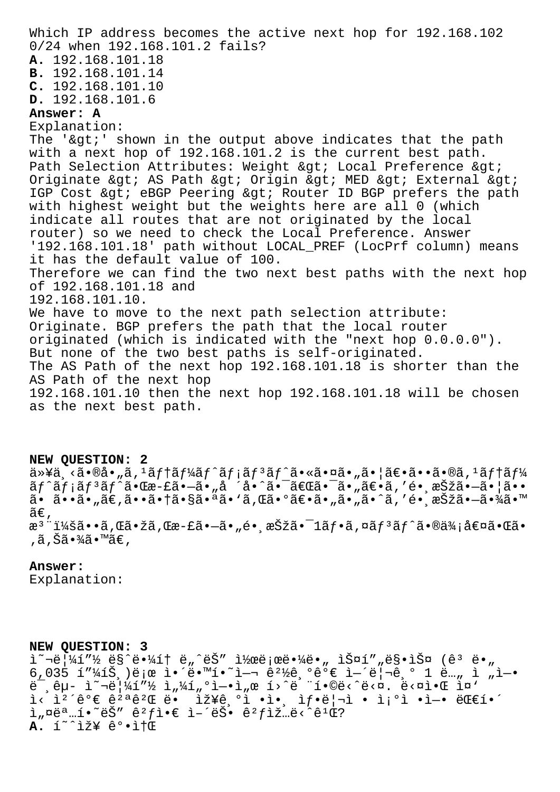Which IP address becomes the active next hop for 192.168.102 0/24 when 192.168.101.2 fails? **A.** 192.168.101.18 **B.** 192.168.101.14 **C.** 192.168.101.10 **D.** 192.168.101.6 **Answer: A** Explanation: The ' $\sqrt{g}t$ ' shown in the output above indicates that the path with a next hop of 192.168.101.2 is the current best path. Path Selection Attributes: Weight > Local Preference > Originate & gt; AS Path & gt; Origin & gt; MED & gt; External & gt; IGP Cost > eBGP Peering > Router ID BGP prefers the path with highest weight but the weights here are all 0 (which indicate all routes that are not originated by the local router) so we need to check the Local Preference. Answer '192.168.101.18' path without LOCAL\_PREF (LocPrf column) means it has the default value of 100. Therefore we can find the two next best paths with the next hop of 192.168.101.18 and 192.168.101.10. We have to move to the next path selection attribute: Originate. BGP prefers the path that the local router originated (which is indicated with the "next hop 0.0.0.0"). But none of the two best paths is self-originated. The AS Path of the next hop 192.168.101.18 is shorter than the AS Path of the next hop 192.168.101.10 then the next hop 192.168.101.18 will be chosen as the next best path.

## **NEW QUESTION: 2**

以ä¸<㕮啄ã,1テーãƒ^メリãƒ^㕫㕤ã•"㕦〕ã••ã•®ã,1テー ãƒ^メリãƒ^㕌æ-£ã•—ã•"å ´å•^㕯「㕯ã•"〕ã,′镸択㕗㕦ã•• ã• ã••ã•"ã€,㕕㕆㕧㕪ã•'ã,Œã•°ã€•ã•"ã•"ã•^ã,′é• æŠžã•–ã•¾ã•™  $ilde{\alpha} \in$ , æ<sup>3</sup> ":ã••ã,Œã•žã,Œæ-£ã•–ã•"é• ˌ択ã•<sup>-</sup>1ãf•ã,¤ãf<sup>3</sup>ãf^㕮価値㕌ã• ,ã,Šã•¾ã•™ã€,

## **Answer:**

Explanation:

## **NEW QUESTION: 3**

 $\tilde{a}^{\sim}$  $\tilde{b}$   $\tilde{a}$   $\tilde{b}$   $\tilde{c}$   $\tilde{c}$   $\tilde{c}$   $\tilde{b}$   $\tilde{c}$   $\tilde{c}$   $\tilde{c}$   $\tilde{c}$   $\tilde{c}$   $\tilde{c}$   $\tilde{c}$   $\tilde{c}$   $\tilde{c}$   $\tilde{c}$   $\tilde{c}$   $\tilde{c}$   $\tilde{c}$   $\tilde{c}$   $\tilde{c}$   $\tilde{c}$   $\$  $6,035$   $1''\frac{1}{415}$  )ete l. e wi. e  $1 - 2$  e  $2\frac{1}{2}$  ,  $6.06$   $\epsilon$  l-'e  $-6.01$  e... i .l.  $\ddot{e}$ ,  $\hat{e}$  $\mu$ - ì $\ddot{e}$   $\frac{1}{4}$   $\frac{1}{4}$   $\frac{1}{2}$   $\frac{1}{4}$   $\frac{1}{4}$   $\frac{1}{4}$   $\frac{1}{4}$   $\frac{1}{4}$   $\frac{1}{4}$   $\frac{1}{4}$   $\frac{1}{4}$   $\frac{1}{4}$   $\frac{1}{4}$   $\frac{1}{4}$   $\frac{1}{4}$   $\frac{1}{4}$   $\frac{1}{4}$   $\frac{1}{4}$   $\frac{1}{4}$  $i<\tilde{1}<\tilde{1}^2$ ´ê°€ ê $^2$ ªêºŒ ë•  $i\tilde{2}$ ¥ê,ºi •ì•, ì $f$ •리ì • ì¡°ì •ì-• 대í•´  $i$ ,  $\alpha$ ë ... $i \cdot \alpha$   $i \cdot \beta$   $i \cdot \beta$   $i \cdot \beta$   $i \cdot \beta$   $i \cdot \beta$   $i \cdot \beta$   $i \cdot \beta$   $i \cdot \beta$   $i \cdot \beta$   $i \cdot \beta$   $i \cdot \beta$   $i \cdot \beta$  $A.$  í<sup>~^</sup>iž¥ ê°.i+**Œ**